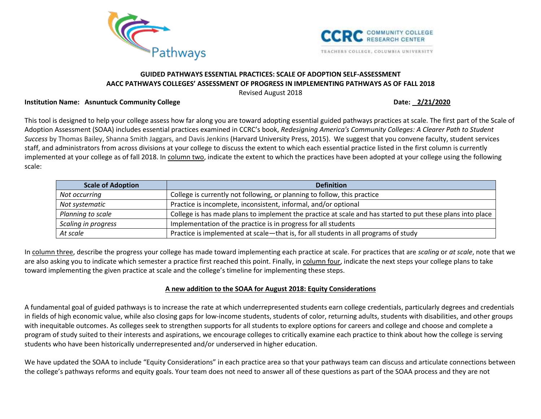



## **GUIDED PATHWAYS ESSENTIAL PRACTICES: SCALE OF ADOPTION SELF-ASSESSMENT AACC PATHWAYS COLLEGES' ASSESSMENT OF PROGRESS IN IMPLEMENTING PATHWAYS AS OF FALL 2018**

Revised August 2018

## **Institution Name: Asnuntuck Community College Date: 2/21/2020 2018 19:30 19:30 19:30 19:30 19:30 19:30 19:30 19:30 19:30 19:30 19:30 19:30 19:30 19:30 19:30 19:30 19:30 19:30 19:30 19:30 19:30 19:30 19:30 19:30 19:30 19:3**

This tool is designed to help your college assess how far along you are toward adopting essential guided pathways practices at scale. The first part of the Scale of Adoption Assessment (SOAA) includes essential practices examined in CCRC's book, *Redesigning America's Community Colleges: A Clearer Path to Student Success* by Thomas Bailey, Shanna Smith Jaggars, and Davis Jenkins (Harvard University Press, 2015). We suggest that you convene faculty, student services staff, and administrators from across divisions at your college to discuss the extent to which each essential practice listed in the first column is currently implemented at your college as of fall 2018. In column two, indicate the extent to which the practices have been adopted at your college using the following scale:

| <b>Scale of Adoption</b> | <b>Definition</b>                                                                                          |
|--------------------------|------------------------------------------------------------------------------------------------------------|
| Not occurring            | College is currently not following, or planning to follow, this practice                                   |
| Not systematic           | Practice is incomplete, inconsistent, informal, and/or optional                                            |
| Planning to scale        | College is has made plans to implement the practice at scale and has started to put these plans into place |
| Scaling in progress      | Implementation of the practice is in progress for all students                                             |
| At scale                 | Practice is implemented at scale—that is, for all students in all programs of study                        |

In column three, describe the progress your college has made toward implementing each practice at scale. For practices that are *scaling* or *at scale*, note that we are also asking you to indicate which semester a practice first reached this point. Finally, in column four, indicate the next steps your college plans to take toward implementing the given practice at scale and the college's timeline for implementing these steps.

## **A new addition to the SOAA for August 2018: Equity Considerations**

A fundamental goal of guided pathways is to increase the rate at which underrepresented students earn college credentials, particularly degrees and credentials in fields of high economic value, while also closing gaps for low-income students, students of color, returning adults, students with disabilities, and other groups with inequitable outcomes. As colleges seek to strengthen supports for all students to explore options for careers and college and choose and complete a program of study suited to their interests and aspirations, we encourage colleges to critically examine each practice to think about how the college is serving students who have been historically underrepresented and/or underserved in higher education.

We have updated the SOAA to include "Equity Considerations" in each practice area so that your pathways team can discuss and articulate connections between the college's pathways reforms and equity goals. Your team does not need to answer all of these questions as part of the SOAA process and they are not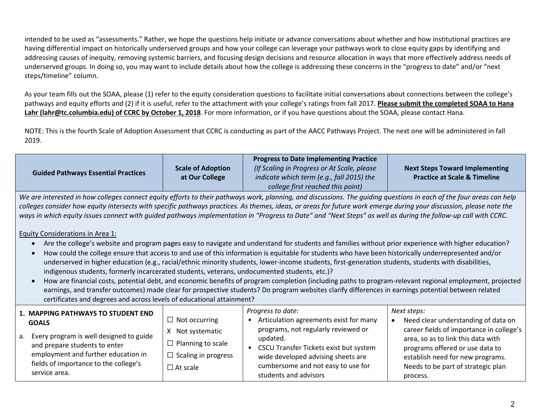intended to be used as "assessments." Rather, we hope the questions help initiate or advance conversations about whether and how institutional practices are having differential impact on historically underserved groups and how your college can leverage your pathways work to close equity gaps by identifying and addressing causes of inequity, removing systemic barriers, and focusing design decisions and resource allocation in ways that more effectively address needs of underserved groups. In doing so, you may want to include details about how the college is addressing these concerns in the "progress to date" and/or "next steps/timeline" column.

As your team fills out the SOAA, please (1) refer to the equity consideration questions to facilitate initial conversations about connections between the college's pathways and equity efforts and (2) if it is useful, refer to the attachment with your college's ratings from fall 2017. **Please submit the completed SOAA to Hana Lahr [\(lahr@tc.columbia.edu\)](mailto:lahr@tc.columbia.edu) of CCRC by October 1, 2018**. For more information, or if you have questions about the SOAA, please contact Hana.

NOTE: This is the fourth Scale of Adoption Assessment that CCRC is conducting as part of the AACC Pathways Project. The next one will be administered in fall 2019.

| <b>Guided Pathways Essential Practices</b>                                                                                                                                                                                            | <b>Scale of Adoption</b><br>at Our College                                                                               | <b>Progress to Date Implementing Practice</b><br>(If Scaling in Progress or At Scale, please<br>indicate which term (e.g., fall 2015) the<br>college first reached this point)                                                                                                                                                                                                                                                                                                                                                                                                                                                                                                                                                                                                                                                                                                                                                                                                                                                                                                                                                                                                                                                                                                                             | <b>Next Steps Toward Implementing</b><br><b>Practice at Scale &amp; Timeline</b>                                                                                                                                                                                           |
|---------------------------------------------------------------------------------------------------------------------------------------------------------------------------------------------------------------------------------------|--------------------------------------------------------------------------------------------------------------------------|------------------------------------------------------------------------------------------------------------------------------------------------------------------------------------------------------------------------------------------------------------------------------------------------------------------------------------------------------------------------------------------------------------------------------------------------------------------------------------------------------------------------------------------------------------------------------------------------------------------------------------------------------------------------------------------------------------------------------------------------------------------------------------------------------------------------------------------------------------------------------------------------------------------------------------------------------------------------------------------------------------------------------------------------------------------------------------------------------------------------------------------------------------------------------------------------------------------------------------------------------------------------------------------------------------|----------------------------------------------------------------------------------------------------------------------------------------------------------------------------------------------------------------------------------------------------------------------------|
| Equity Considerations in Area 1:<br>$\bullet$<br>indigenous students, formerly incarcerated students, veterans, undocumented students, etc.)?<br>certificates and degrees and across levels of educational attainment?                |                                                                                                                          | We are interested in how colleges connect equity efforts to their pathways work, planning, and discussions. The guiding questions in each of the four areas can help<br>colleges consider how equity intersects with specific pathways practices. As themes, ideas, or areas for future work emerge during your discussion, please note the<br>ways in which equity issues connect with guided pathways implementation in "Progress to Date" and "Next Steps" as well as during the follow-up call with CCRC.<br>Are the college's website and program pages easy to navigate and understand for students and families without prior experience with higher education?<br>How could the college ensure that access to and use of this information is equitable for students who have been historically underrepresented and/or<br>underserved in higher education (e.g., racial/ethnic minority students, lower-income students, first-generation students, students with disabilities,<br>How are financial costs, potential debt, and economic benefits of program completion (including paths to program-relevant regional employment, projected<br>earnings, and transfer outcomes) made clear for prospective students? Do program websites clarify differences in earnings potential between related |                                                                                                                                                                                                                                                                            |
| 1. MAPPING PATHWAYS TO STUDENT END<br><b>GOALS</b><br>Every program is well designed to guide<br>a.<br>and prepare students to enter<br>employment and further education in<br>fields of importance to the college's<br>service area. | $\Box$ Not occurring<br>X Not systematic<br>Planning to scale<br>$\Box$<br>$\Box$ Scaling in progress<br>$\Box$ At scale | Progress to date:<br>Articulation agreements exist for many<br>$\bullet$<br>programs, not regularly reviewed or<br>updated.<br>CSCU Transfer Tickets exist but system<br>$\bullet$<br>wide developed advising sheets are<br>cumbersome and not easy to use for<br>students and advisors                                                                                                                                                                                                                                                                                                                                                                                                                                                                                                                                                                                                                                                                                                                                                                                                                                                                                                                                                                                                                    | Next steps:<br>Need clear understanding of data on<br>$\bullet$<br>career fields of importance in college's<br>area, so as to link this data with<br>programs offered or use data to<br>establish need for new programs.<br>Needs to be part of strategic plan<br>process. |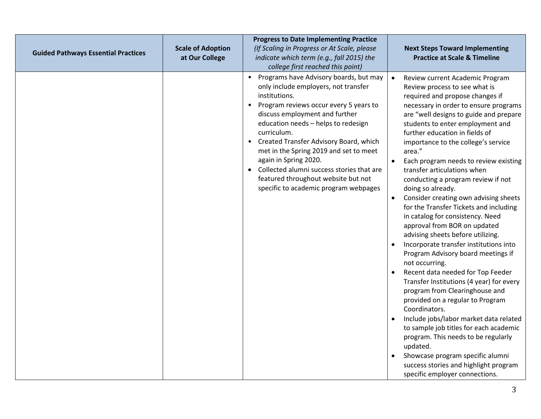| <b>Guided Pathways Essential Practices</b> | <b>Scale of Adoption</b><br>at Our College | <b>Progress to Date Implementing Practice</b><br>(If Scaling in Progress or At Scale, please<br>indicate which term (e.g., fall 2015) the<br>college first reached this point)                                                                                                                                                                                                                                                                                                                            | <b>Next Steps Toward Implementing</b><br><b>Practice at Scale &amp; Timeline</b>                                                                                                                                                                                                                                                                                                                                                                                                                                                                                                                                                                                                                                                                                                                                                                                                                                                                                                                                                                                                                                                                                                          |
|--------------------------------------------|--------------------------------------------|-----------------------------------------------------------------------------------------------------------------------------------------------------------------------------------------------------------------------------------------------------------------------------------------------------------------------------------------------------------------------------------------------------------------------------------------------------------------------------------------------------------|-------------------------------------------------------------------------------------------------------------------------------------------------------------------------------------------------------------------------------------------------------------------------------------------------------------------------------------------------------------------------------------------------------------------------------------------------------------------------------------------------------------------------------------------------------------------------------------------------------------------------------------------------------------------------------------------------------------------------------------------------------------------------------------------------------------------------------------------------------------------------------------------------------------------------------------------------------------------------------------------------------------------------------------------------------------------------------------------------------------------------------------------------------------------------------------------|
|                                            |                                            | • Programs have Advisory boards, but may<br>only include employers, not transfer<br>institutions.<br>Program reviews occur every 5 years to<br>$\bullet$<br>discuss employment and further<br>education needs - helps to redesign<br>curriculum.<br>• Created Transfer Advisory Board, which<br>met in the Spring 2019 and set to meet<br>again in Spring 2020.<br>Collected alumni success stories that are<br>$\bullet$<br>featured throughout website but not<br>specific to academic program webpages | $\bullet$<br>Review current Academic Program<br>Review process to see what is<br>required and propose changes if<br>necessary in order to ensure programs<br>are "well designs to guide and prepare<br>students to enter employment and<br>further education in fields of<br>importance to the college's service<br>area."<br>Each program needs to review existing<br>transfer articulations when<br>conducting a program review if not<br>doing so already.<br>Consider creating own advising sheets<br>for the Transfer Tickets and including<br>in catalog for consistency. Need<br>approval from BOR on updated<br>advising sheets before utilizing.<br>Incorporate transfer institutions into<br>Program Advisory board meetings if<br>not occurring.<br>Recent data needed for Top Feeder<br>Transfer Institutions (4 year) for every<br>program from Clearinghouse and<br>provided on a regular to Program<br>Coordinators.<br>Include jobs/labor market data related<br>to sample job titles for each academic<br>program. This needs to be regularly<br>updated.<br>Showcase program specific alumni<br>success stories and highlight program<br>specific employer connections. |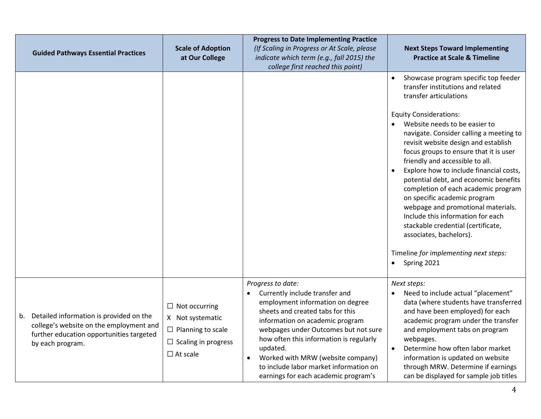| <b>Guided Pathways Essential Practices</b>                                                                                                            | <b>Scale of Adoption</b><br>at Our College                                                                            | <b>Progress to Date Implementing Practice</b><br>(If Scaling in Progress or At Scale, please<br>indicate which term (e.g., fall 2015) the<br>college first reached this point)                                                                                                                                                                                                       | <b>Next Steps Toward Implementing</b><br><b>Practice at Scale &amp; Timeline</b>                                                                                                                                                                                                                                                                                                                                                                                                                                                                                                                                                                                                                                               |
|-------------------------------------------------------------------------------------------------------------------------------------------------------|-----------------------------------------------------------------------------------------------------------------------|--------------------------------------------------------------------------------------------------------------------------------------------------------------------------------------------------------------------------------------------------------------------------------------------------------------------------------------------------------------------------------------|--------------------------------------------------------------------------------------------------------------------------------------------------------------------------------------------------------------------------------------------------------------------------------------------------------------------------------------------------------------------------------------------------------------------------------------------------------------------------------------------------------------------------------------------------------------------------------------------------------------------------------------------------------------------------------------------------------------------------------|
|                                                                                                                                                       |                                                                                                                       |                                                                                                                                                                                                                                                                                                                                                                                      | Showcase program specific top feeder<br>$\bullet$<br>transfer institutions and related<br>transfer articulations<br><b>Equity Considerations:</b><br>Website needs to be easier to<br>navigate. Consider calling a meeting to<br>revisit website design and establish<br>focus groups to ensure that it is user<br>friendly and accessible to all.<br>Explore how to include financial costs,<br>potential debt, and economic benefits<br>completion of each academic program<br>on specific academic program<br>webpage and promotional materials.<br>Include this information for each<br>stackable credential (certificate,<br>associates, bachelors).<br>Timeline for implementing next steps:<br>Spring 2021<br>$\bullet$ |
| b. Detailed information is provided on the<br>college's website on the employment and<br>further education opportunities targeted<br>by each program. | $\Box$ Not occurring<br>X Not systematic<br>$\Box$ Planning to scale<br>$\Box$ Scaling in progress<br>$\Box$ At scale | Progress to date:<br>Currently include transfer and<br>employment information on degree<br>sheets and created tabs for this<br>information on academic program<br>webpages under Outcomes but not sure<br>how often this information is regularly<br>updated.<br>Worked with MRW (website company)<br>to include labor market information on<br>earnings for each academic program's | Next steps:<br>Need to include actual "placement"<br>data (where students have transferred<br>and have been employed) for each<br>academic program under the transfer<br>and employment tabs on program<br>webpages.<br>Determine how often labor market<br>information is updated on website<br>through MRW. Determine if earnings<br>can be displayed for sample job titles                                                                                                                                                                                                                                                                                                                                                  |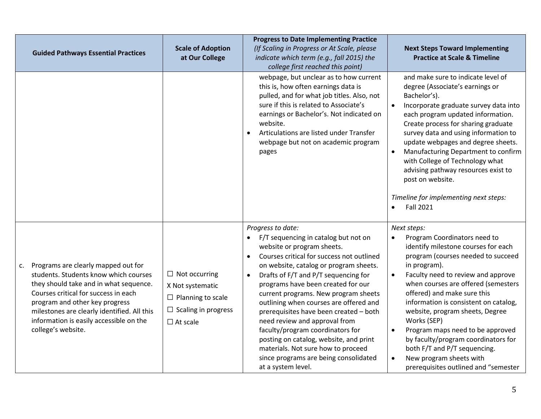| <b>Guided Pathways Essential Practices</b>                                                                                                                                                                                                                                                                          | <b>Scale of Adoption</b><br>at Our College                                                                            | <b>Progress to Date Implementing Practice</b><br>(If Scaling in Progress or At Scale, please<br>indicate which term (e.g., fall 2015) the<br>college first reached this point)                                                                                                                                                                                                                                                                                                                                                                                                                                            | <b>Next Steps Toward Implementing</b><br><b>Practice at Scale &amp; Timeline</b>                                                                                                                                                                                                                                                                                                                                                                                                                                              |
|---------------------------------------------------------------------------------------------------------------------------------------------------------------------------------------------------------------------------------------------------------------------------------------------------------------------|-----------------------------------------------------------------------------------------------------------------------|---------------------------------------------------------------------------------------------------------------------------------------------------------------------------------------------------------------------------------------------------------------------------------------------------------------------------------------------------------------------------------------------------------------------------------------------------------------------------------------------------------------------------------------------------------------------------------------------------------------------------|-------------------------------------------------------------------------------------------------------------------------------------------------------------------------------------------------------------------------------------------------------------------------------------------------------------------------------------------------------------------------------------------------------------------------------------------------------------------------------------------------------------------------------|
|                                                                                                                                                                                                                                                                                                                     |                                                                                                                       | webpage, but unclear as to how current<br>this is, how often earnings data is<br>pulled, and for what job titles. Also, not<br>sure if this is related to Associate's<br>earnings or Bachelor's. Not indicated on<br>website.<br>Articulations are listed under Transfer<br>webpage but not on academic program<br>pages                                                                                                                                                                                                                                                                                                  | and make sure to indicate level of<br>degree (Associate's earnings or<br>Bachelor's).<br>Incorporate graduate survey data into<br>each program updated information.<br>Create process for sharing graduate<br>survey data and using information to<br>update webpages and degree sheets.<br>Manufacturing Department to confirm<br>$\bullet$<br>with College of Technology what<br>advising pathway resources exist to<br>post on website.<br>Timeline for implementing next steps:<br><b>Fall 2021</b>                       |
| c. Programs are clearly mapped out for<br>students. Students know which courses<br>they should take and in what sequence.<br>Courses critical for success in each<br>program and other key progress<br>milestones are clearly identified. All this<br>information is easily accessible on the<br>college's website. | $\Box$ Not occurring<br>X Not systematic<br>$\Box$ Planning to scale<br>$\Box$ Scaling in progress<br>$\Box$ At scale | Progress to date:<br>F/T sequencing in catalog but not on<br>website or program sheets.<br>Courses critical for success not outlined<br>on website, catalog or program sheets.<br>Drafts of F/T and P/T sequencing for<br>$\bullet$<br>programs have been created for our<br>current programs. New program sheets<br>outlining when courses are offered and<br>prerequisites have been created - both<br>need review and approval from<br>faculty/program coordinators for<br>posting on catalog, website, and print<br>materials. Not sure how to proceed<br>since programs are being consolidated<br>at a system level. | Next steps:<br>Program Coordinators need to<br>identify milestone courses for each<br>program (courses needed to succeed<br>in program).<br>Faculty need to review and approve<br>when courses are offered (semesters<br>offered) and make sure this<br>information is consistent on catalog,<br>website, program sheets, Degree<br>Works (SEP)<br>Program maps need to be approved<br>by faculty/program coordinators for<br>both F/T and P/T sequencing.<br>New program sheets with<br>prerequisites outlined and "semester |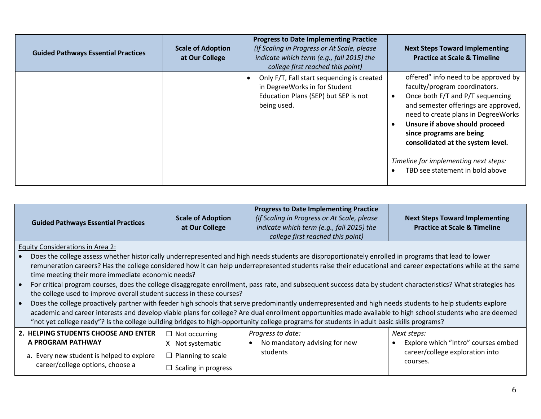| <b>Guided Pathways Essential Practices</b> | <b>Scale of Adoption</b><br>at Our College | <b>Progress to Date Implementing Practice</b><br>(If Scaling in Progress or At Scale, please<br>indicate which term (e.g., fall 2015) the<br>college first reached this point) | <b>Next Steps Toward Implementing</b><br><b>Practice at Scale &amp; Timeline</b>                                                                                                                                                                                                                                                                                        |
|--------------------------------------------|--------------------------------------------|--------------------------------------------------------------------------------------------------------------------------------------------------------------------------------|-------------------------------------------------------------------------------------------------------------------------------------------------------------------------------------------------------------------------------------------------------------------------------------------------------------------------------------------------------------------------|
|                                            |                                            | Only F/T, Fall start sequencing is created<br>in DegreeWorks in for Student<br>Education Plans (SEP) but SEP is not<br>being used.                                             | offered" info need to be approved by<br>faculty/program coordinators.<br>Once both F/T and P/T sequencing<br>and semester offerings are approved,<br>need to create plans in DegreeWorks<br>Unsure if above should proceed<br>since programs are being<br>consolidated at the system level.<br>Timeline for implementing next steps:<br>TBD see statement in bold above |

| <b>Guided Pathways Essential Practices</b>                                                                                                 | <b>Scale of Adoption</b><br>at Our College | <b>Progress to Date Implementing Practice</b><br>(If Scaling in Progress or At Scale, please<br>indicate which term (e.g., fall 2015) the<br>college first reached this point) | <b>Next Steps Toward Implementing</b><br><b>Practice at Scale &amp; Timeline</b> |
|--------------------------------------------------------------------------------------------------------------------------------------------|--------------------------------------------|--------------------------------------------------------------------------------------------------------------------------------------------------------------------------------|----------------------------------------------------------------------------------|
| Equity Considerations in Area 2:                                                                                                           |                                            |                                                                                                                                                                                |                                                                                  |
|                                                                                                                                            |                                            | Does the college assess whether historically underrepresented and high needs students are disproportionately enrolled in programs that lead to lower                           |                                                                                  |
|                                                                                                                                            |                                            | remuneration careers? Has the college considered how it can help underrepresented students raise their educational and career expectations while at the same                   |                                                                                  |
| time meeting their more immediate economic needs?                                                                                          |                                            |                                                                                                                                                                                |                                                                                  |
|                                                                                                                                            |                                            | For critical program courses, does the college disaggregate enrollment, pass rate, and subsequent success data by student characteristics? What strategies has                 |                                                                                  |
| the college used to improve overall student success in these courses?                                                                      |                                            |                                                                                                                                                                                |                                                                                  |
|                                                                                                                                            |                                            | Does the college proactively partner with feeder high schools that serve predominantly underrepresented and high needs students to help students explore                       |                                                                                  |
|                                                                                                                                            |                                            | academic and career interests and develop viable plans for college? Are dual enrollment opportunities made available to high school students who are deemed                    |                                                                                  |
| "not yet college ready"? Is the college building bridges to high-opportunity college programs for students in adult basic skills programs? |                                            |                                                                                                                                                                                |                                                                                  |
| 2. HELPING STUDENTS CHOOSE AND ENTER                                                                                                       | $\Box$ Not occurring                       | Progress to date:                                                                                                                                                              | Next steps:                                                                      |
| A PROGRAM PATHWAY                                                                                                                          | Not systematic                             | No mandatory advising for new<br>$\bullet$                                                                                                                                     | Explore which "Intro" courses embed                                              |
| a. Every new student is helped to explore                                                                                                  | $\Box$ Planning to scale                   | students                                                                                                                                                                       | career/college exploration into<br>courses.                                      |
| career/college options, choose a                                                                                                           | $\Box$ Scaling in progress                 |                                                                                                                                                                                |                                                                                  |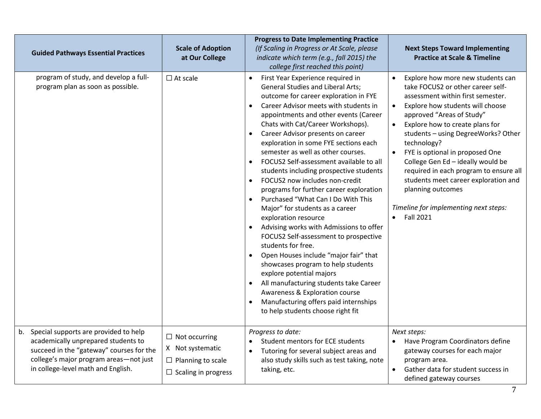| <b>Guided Pathways Essential Practices</b>                                                                                                                                                                  | <b>Scale of Adoption</b><br>at Our College                                                         | <b>Progress to Date Implementing Practice</b><br>(If Scaling in Progress or At Scale, please<br>indicate which term (e.g., fall 2015) the<br>college first reached this point)                                                                                                                                                                                                                                                                                                                                                                                                                                                                                                                                                                                                                                                                                                                                                                                                                                                                                                                                               | <b>Next Steps Toward Implementing</b><br><b>Practice at Scale &amp; Timeline</b>                                                                                                                                                                                                                                                                                                                                                                                                                                                                               |
|-------------------------------------------------------------------------------------------------------------------------------------------------------------------------------------------------------------|----------------------------------------------------------------------------------------------------|------------------------------------------------------------------------------------------------------------------------------------------------------------------------------------------------------------------------------------------------------------------------------------------------------------------------------------------------------------------------------------------------------------------------------------------------------------------------------------------------------------------------------------------------------------------------------------------------------------------------------------------------------------------------------------------------------------------------------------------------------------------------------------------------------------------------------------------------------------------------------------------------------------------------------------------------------------------------------------------------------------------------------------------------------------------------------------------------------------------------------|----------------------------------------------------------------------------------------------------------------------------------------------------------------------------------------------------------------------------------------------------------------------------------------------------------------------------------------------------------------------------------------------------------------------------------------------------------------------------------------------------------------------------------------------------------------|
| program of study, and develop a full-<br>program plan as soon as possible.                                                                                                                                  | $\Box$ At scale                                                                                    | First Year Experience required in<br>$\bullet$<br><b>General Studies and Liberal Arts;</b><br>outcome for career exploration in FYE<br>Career Advisor meets with students in<br>appointments and other events (Career<br>Chats with Cat/Career Workshops).<br>Career Advisor presents on career<br>exploration in some FYE sections each<br>semester as well as other courses.<br>FOCUS2 Self-assessment available to all<br>$\bullet$<br>students including prospective students<br>FOCUS2 now includes non-credit<br>$\bullet$<br>programs for further career exploration<br>Purchased "What Can I Do With This<br>$\bullet$<br>Major" for students as a career<br>exploration resource<br>Advising works with Admissions to offer<br>$\bullet$<br>FOCUS2 Self-assessment to prospective<br>students for free.<br>Open Houses include "major fair" that<br>$\bullet$<br>showcases program to help students<br>explore potential majors<br>All manufacturing students take Career<br>$\bullet$<br>Awareness & Exploration course<br>Manufacturing offers paid internships<br>$\bullet$<br>to help students choose right fit | Explore how more new students can<br>take FOCUS2 or other career self-<br>assessment within first semester.<br>Explore how students will choose<br>$\bullet$<br>approved "Areas of Study"<br>Explore how to create plans for<br>$\bullet$<br>students - using DegreeWorks? Other<br>technology?<br>FYE is optional in proposed One<br>$\bullet$<br>College Gen Ed - ideally would be<br>required in each program to ensure all<br>students meet career exploration and<br>planning outcomes<br>Timeline for implementing next steps:<br>Fall 2021<br>$\bullet$ |
| b. Special supports are provided to help<br>academically unprepared students to<br>succeed in the "gateway" courses for the<br>college's major program areas-not just<br>in college-level math and English. | $\Box$ Not occurring<br>X Not systematic<br>$\Box$ Planning to scale<br>$\Box$ Scaling in progress | Progress to date:<br>Student mentors for ECE students<br>Tutoring for several subject areas and<br>also study skills such as test taking, note<br>taking, etc.                                                                                                                                                                                                                                                                                                                                                                                                                                                                                                                                                                                                                                                                                                                                                                                                                                                                                                                                                               | Next steps:<br>Have Program Coordinators define<br>gateway courses for each major<br>program area.<br>Gather data for student success in<br>defined gateway courses                                                                                                                                                                                                                                                                                                                                                                                            |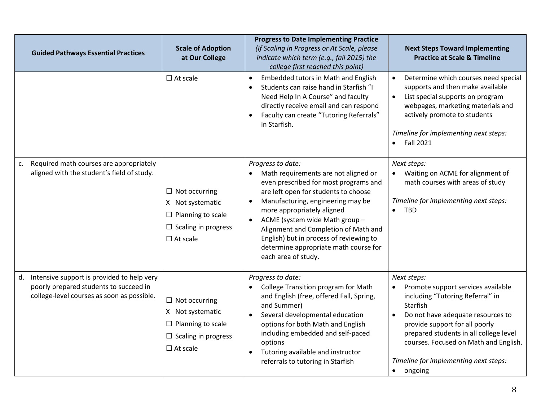| <b>Guided Pathways Essential Practices</b>                                                                                               | <b>Scale of Adoption</b><br>at Our College                                                                            | <b>Progress to Date Implementing Practice</b><br>(If Scaling in Progress or At Scale, please<br>indicate which term (e.g., fall 2015) the<br>college first reached this point)                                                                                                                                                                                                                                               | <b>Next Steps Toward Implementing</b><br><b>Practice at Scale &amp; Timeline</b>                                                                                                                                                                                                                                             |
|------------------------------------------------------------------------------------------------------------------------------------------|-----------------------------------------------------------------------------------------------------------------------|------------------------------------------------------------------------------------------------------------------------------------------------------------------------------------------------------------------------------------------------------------------------------------------------------------------------------------------------------------------------------------------------------------------------------|------------------------------------------------------------------------------------------------------------------------------------------------------------------------------------------------------------------------------------------------------------------------------------------------------------------------------|
|                                                                                                                                          | $\Box$ At scale                                                                                                       | Embedded tutors in Math and English<br>$\bullet$<br>Students can raise hand in Starfish "I<br>Need Help In A Course" and faculty<br>directly receive email and can respond<br>Faculty can create "Tutoring Referrals"<br>$\bullet$<br>in Starfish.                                                                                                                                                                           | Determine which courses need special<br>$\bullet$<br>supports and then make available<br>List special supports on program<br>webpages, marketing materials and<br>actively promote to students<br>Timeline for implementing next steps:<br><b>Fall 2021</b>                                                                  |
| Required math courses are appropriately<br>c.<br>aligned with the student's field of study.                                              | $\Box$ Not occurring<br>X Not systematic<br>$\Box$ Planning to scale<br>$\Box$ Scaling in progress<br>$\Box$ At scale | Progress to date:<br>Math requirements are not aligned or<br>even prescribed for most programs and<br>are left open for students to choose<br>Manufacturing, engineering may be<br>$\bullet$<br>more appropriately aligned<br>ACME (system wide Math group -<br>$\bullet$<br>Alignment and Completion of Math and<br>English) but in process of reviewing to<br>determine appropriate math course for<br>each area of study. | Next steps:<br>Waiting on ACME for alignment of<br>math courses with areas of study<br>Timeline for implementing next steps:<br><b>TBD</b><br>$\bullet$                                                                                                                                                                      |
| Intensive support is provided to help very<br>d.<br>poorly prepared students to succeed in<br>college-level courses as soon as possible. | $\Box$ Not occurring<br>X Not systematic<br>$\Box$ Planning to scale<br>$\Box$ Scaling in progress<br>$\Box$ At scale | Progress to date:<br><b>College Transition program for Math</b><br>and English (free, offered Fall, Spring,<br>and Summer)<br>Several developmental education<br>$\bullet$<br>options for both Math and English<br>including embedded and self-paced<br>options<br>Tutoring available and instructor<br>referrals to tutoring in Starfish                                                                                    | Next steps:<br>Promote support services available<br>including "Tutoring Referral" in<br>Starfish<br>Do not have adequate resources to<br>provide support for all poorly<br>prepared students in all college level<br>courses. Focused on Math and English.<br>Timeline for implementing next steps:<br>ongoing<br>$\bullet$ |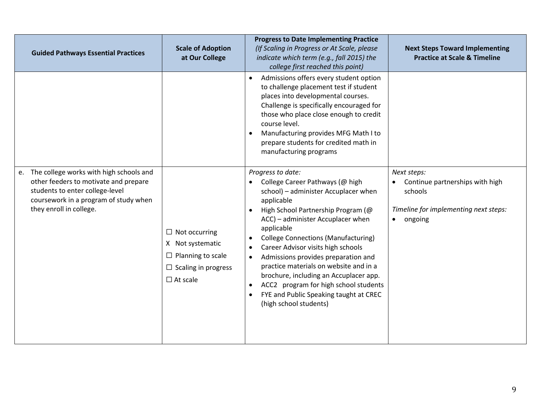| <b>Guided Pathways Essential Practices</b>                                                                                                                                                 | <b>Scale of Adoption</b><br>at Our College                                                                            | <b>Progress to Date Implementing Practice</b><br>(If Scaling in Progress or At Scale, please<br>indicate which term (e.g., fall 2015) the<br>college first reached this point)                                                                                                                                                                                                                                                                                                                                                                                                                   | <b>Next Steps Toward Implementing</b><br><b>Practice at Scale &amp; Timeline</b>                                           |
|--------------------------------------------------------------------------------------------------------------------------------------------------------------------------------------------|-----------------------------------------------------------------------------------------------------------------------|--------------------------------------------------------------------------------------------------------------------------------------------------------------------------------------------------------------------------------------------------------------------------------------------------------------------------------------------------------------------------------------------------------------------------------------------------------------------------------------------------------------------------------------------------------------------------------------------------|----------------------------------------------------------------------------------------------------------------------------|
|                                                                                                                                                                                            |                                                                                                                       | Admissions offers every student option<br>to challenge placement test if student<br>places into developmental courses.<br>Challenge is specifically encouraged for<br>those who place close enough to credit<br>course level.<br>Manufacturing provides MFG Math I to<br>$\bullet$<br>prepare students for credited math in<br>manufacturing programs                                                                                                                                                                                                                                            |                                                                                                                            |
| e. The college works with high schools and<br>other feeders to motivate and prepare<br>students to enter college-level<br>coursework in a program of study when<br>they enroll in college. | $\Box$ Not occurring<br>X Not systematic<br>$\Box$ Planning to scale<br>$\Box$ Scaling in progress<br>$\Box$ At scale | Progress to date:<br>College Career Pathways (@ high<br>school) - administer Accuplacer when<br>applicable<br>High School Partnership Program (@<br>$\bullet$<br>ACC) - administer Accuplacer when<br>applicable<br><b>College Connections (Manufacturing)</b><br>$\bullet$<br>Career Advisor visits high schools<br>$\bullet$<br>Admissions provides preparation and<br>$\bullet$<br>practice materials on website and in a<br>brochure, including an Accuplacer app.<br>ACC2 program for high school students<br>$\bullet$<br>FYE and Public Speaking taught at CREC<br>(high school students) | Next steps:<br>Continue partnerships with high<br>schools<br>Timeline for implementing next steps:<br>ongoing<br>$\bullet$ |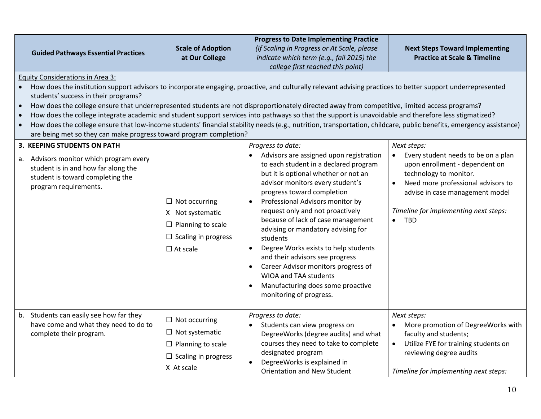|    | <b>Guided Pathways Essential Practices</b>                                                                                                                                                                                                                                                                                                                                                                                                                                                                                                                                                                                                                                                                                                                                                             | <b>Scale of Adoption</b><br>at Our College                                                                            | <b>Progress to Date Implementing Practice</b><br>(If Scaling in Progress or At Scale, please<br>indicate which term (e.g., fall 2015) the<br>college first reached this point)                                                                                                                                                                                                                                                                                                                                                                                                                                              | <b>Next Steps Toward Implementing</b><br><b>Practice at Scale &amp; Timeline</b>                                                                                                                                                                            |  |
|----|--------------------------------------------------------------------------------------------------------------------------------------------------------------------------------------------------------------------------------------------------------------------------------------------------------------------------------------------------------------------------------------------------------------------------------------------------------------------------------------------------------------------------------------------------------------------------------------------------------------------------------------------------------------------------------------------------------------------------------------------------------------------------------------------------------|-----------------------------------------------------------------------------------------------------------------------|-----------------------------------------------------------------------------------------------------------------------------------------------------------------------------------------------------------------------------------------------------------------------------------------------------------------------------------------------------------------------------------------------------------------------------------------------------------------------------------------------------------------------------------------------------------------------------------------------------------------------------|-------------------------------------------------------------------------------------------------------------------------------------------------------------------------------------------------------------------------------------------------------------|--|
|    | <b>Equity Considerations in Area 3:</b><br>How does the institution support advisors to incorporate engaging, proactive, and culturally relevant advising practices to better support underrepresented<br>students' success in their programs?<br>How does the college ensure that underrepresented students are not disproportionately directed away from competitive, limited access programs?<br>How does the college integrate academic and student support services into pathways so that the support is unavoidable and therefore less stigmatized?<br>How does the college ensure that low-income students' financial stability needs (e.g., nutrition, transportation, childcare, public benefits, emergency assistance)<br>are being met so they can make progress toward program completion? |                                                                                                                       |                                                                                                                                                                                                                                                                                                                                                                                                                                                                                                                                                                                                                             |                                                                                                                                                                                                                                                             |  |
| а. | 3. KEEPING STUDENTS ON PATH<br>Advisors monitor which program every<br>student is in and how far along the<br>student is toward completing the<br>program requirements.                                                                                                                                                                                                                                                                                                                                                                                                                                                                                                                                                                                                                                | $\Box$ Not occurring<br>X Not systematic<br>$\Box$ Planning to scale<br>$\Box$ Scaling in progress<br>$\Box$ At scale | Progress to date:<br>Advisors are assigned upon registration<br>to each student in a declared program<br>but it is optional whether or not an<br>advisor monitors every student's<br>progress toward completion<br>Professional Advisors monitor by<br>$\bullet$<br>request only and not proactively<br>because of lack of case management<br>advising or mandatory advising for<br>students<br>Degree Works exists to help students<br>and their advisors see progress<br>Career Advisor monitors progress of<br><b>WIOA and TAA students</b><br>Manufacturing does some proactive<br>$\bullet$<br>monitoring of progress. | Next steps:<br>Every student needs to be on a plan<br>upon enrollment - dependent on<br>technology to monitor.<br>Need more professional advisors to<br>advise in case management model<br>Timeline for implementing next steps:<br><b>TBD</b><br>$\bullet$ |  |
|    | b. Students can easily see how far they<br>have come and what they need to do to<br>complete their program.                                                                                                                                                                                                                                                                                                                                                                                                                                                                                                                                                                                                                                                                                            | $\Box$ Not occurring<br>$\Box$ Not systematic<br>$\Box$ Planning to scale<br>$\Box$ Scaling in progress<br>X At scale | Progress to date:<br>Students can view progress on<br>$\bullet$<br>DegreeWorks (degree audits) and what<br>courses they need to take to complete<br>designated program<br>DegreeWorks is explained in<br><b>Orientation and New Student</b>                                                                                                                                                                                                                                                                                                                                                                                 | Next steps:<br>More promotion of DegreeWorks with<br>$\bullet$<br>faculty and students;<br>Utilize FYE for training students on<br>reviewing degree audits<br>Timeline for implementing next steps:                                                         |  |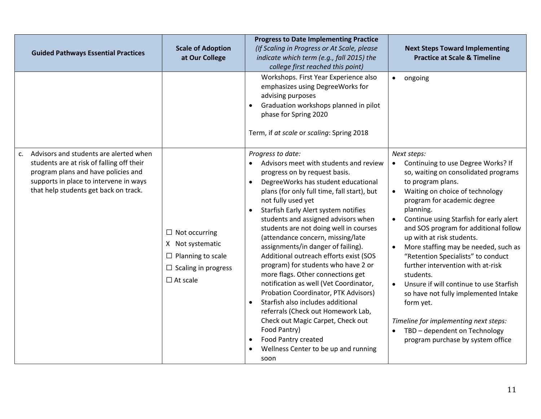| <b>Guided Pathways Essential Practices</b>                                                                                                                                                                                   | <b>Scale of Adoption</b><br>at Our College                                                                            | <b>Progress to Date Implementing Practice</b><br>(If Scaling in Progress or At Scale, please<br>indicate which term (e.g., fall 2015) the<br>college first reached this point)                                                                                                                                                                                                                                                                                                                                                                                                                                                                                                                                                                                                                                                                                            | <b>Next Steps Toward Implementing</b><br><b>Practice at Scale &amp; Timeline</b>                                                                                                                                                                                                                                                                                                                                                                                                                                                                                                                                                                                                        |
|------------------------------------------------------------------------------------------------------------------------------------------------------------------------------------------------------------------------------|-----------------------------------------------------------------------------------------------------------------------|---------------------------------------------------------------------------------------------------------------------------------------------------------------------------------------------------------------------------------------------------------------------------------------------------------------------------------------------------------------------------------------------------------------------------------------------------------------------------------------------------------------------------------------------------------------------------------------------------------------------------------------------------------------------------------------------------------------------------------------------------------------------------------------------------------------------------------------------------------------------------|-----------------------------------------------------------------------------------------------------------------------------------------------------------------------------------------------------------------------------------------------------------------------------------------------------------------------------------------------------------------------------------------------------------------------------------------------------------------------------------------------------------------------------------------------------------------------------------------------------------------------------------------------------------------------------------------|
|                                                                                                                                                                                                                              |                                                                                                                       | Workshops. First Year Experience also<br>emphasizes using DegreeWorks for<br>advising purposes<br>Graduation workshops planned in pilot<br>phase for Spring 2020<br>Term, if at scale or scaling: Spring 2018                                                                                                                                                                                                                                                                                                                                                                                                                                                                                                                                                                                                                                                             | ongoing<br>$\bullet$                                                                                                                                                                                                                                                                                                                                                                                                                                                                                                                                                                                                                                                                    |
| Advisors and students are alerted when<br>$c_{\cdot}$<br>students are at risk of falling off their<br>program plans and have policies and<br>supports in place to intervene in ways<br>that help students get back on track. | $\Box$ Not occurring<br>X Not systematic<br>$\Box$ Planning to scale<br>$\Box$ Scaling in progress<br>$\Box$ At scale | Progress to date:<br>Advisors meet with students and review<br>$\bullet$<br>progress on by request basis.<br>DegreeWorks has student educational<br>$\bullet$<br>plans (for only full time, fall start), but<br>not fully used yet<br>Starfish Early Alert system notifies<br>students and assigned advisors when<br>students are not doing well in courses<br>(attendance concern, missing/late<br>assignments/in danger of failing).<br>Additional outreach efforts exist (SOS<br>program) for students who have 2 or<br>more flags. Other connections get<br>notification as well (Vet Coordinator,<br>Probation Coordinator, PTK Advisors)<br>Starfish also includes additional<br>referrals (Check out Homework Lab,<br>Check out Magic Carpet, Check out<br>Food Pantry)<br><b>Food Pantry created</b><br>$\bullet$<br>Wellness Center to be up and running<br>soon | Next steps:<br>Continuing to use Degree Works? If<br>$\bullet$<br>so, waiting on consolidated programs<br>to program plans.<br>Waiting on choice of technology<br>program for academic degree<br>planning.<br>Continue using Starfish for early alert<br>and SOS program for additional follow<br>up with at risk students.<br>More staffing may be needed, such as<br>$\bullet$<br>"Retention Specialists" to conduct<br>further intervention with at-risk<br>students.<br>Unsure if will continue to use Starfish<br>so have not fully implemented Intake<br>form yet.<br>Timeline for implementing next steps:<br>TBD - dependent on Technology<br>program purchase by system office |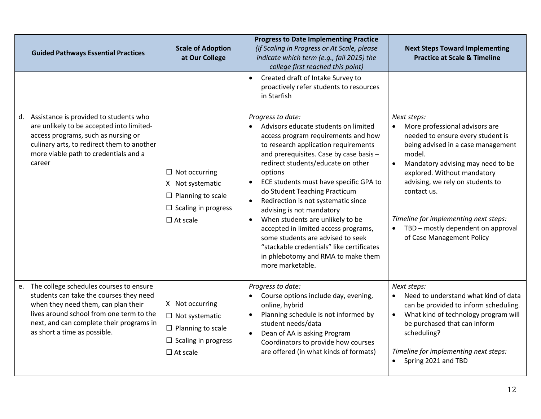| <b>Guided Pathways Essential Practices</b>                                                                                                                                                                                                           | <b>Scale of Adoption</b><br>at Our College                                                                            | <b>Progress to Date Implementing Practice</b><br>(If Scaling in Progress or At Scale, please<br>indicate which term (e.g., fall 2015) the<br>college first reached this point)                                                                                                                                                                                                                                                                                                                                                                                                                                                        | <b>Next Steps Toward Implementing</b><br><b>Practice at Scale &amp; Timeline</b>                                                                                                                                                                                                                                                                                      |
|------------------------------------------------------------------------------------------------------------------------------------------------------------------------------------------------------------------------------------------------------|-----------------------------------------------------------------------------------------------------------------------|---------------------------------------------------------------------------------------------------------------------------------------------------------------------------------------------------------------------------------------------------------------------------------------------------------------------------------------------------------------------------------------------------------------------------------------------------------------------------------------------------------------------------------------------------------------------------------------------------------------------------------------|-----------------------------------------------------------------------------------------------------------------------------------------------------------------------------------------------------------------------------------------------------------------------------------------------------------------------------------------------------------------------|
|                                                                                                                                                                                                                                                      |                                                                                                                       | Created draft of Intake Survey to<br>proactively refer students to resources<br>in Starfish                                                                                                                                                                                                                                                                                                                                                                                                                                                                                                                                           |                                                                                                                                                                                                                                                                                                                                                                       |
| d. Assistance is provided to students who<br>are unlikely to be accepted into limited-<br>access programs, such as nursing or<br>culinary arts, to redirect them to another<br>more viable path to credentials and a<br>career                       | $\Box$ Not occurring<br>X Not systematic<br>$\Box$ Planning to scale<br>$\Box$ Scaling in progress<br>$\Box$ At scale | Progress to date:<br>Advisors educate students on limited<br>access program requirements and how<br>to research application requirements<br>and prerequisites. Case by case basis -<br>redirect students/educate on other<br>options<br>ECE students must have specific GPA to<br>do Student Teaching Practicum<br>Redirection is not systematic since<br>$\bullet$<br>advising is not mandatory<br>When students are unlikely to be<br>$\bullet$<br>accepted in limited access programs,<br>some students are advised to seek<br>"stackable credentials" like certificates<br>in phlebotomy and RMA to make them<br>more marketable. | Next steps:<br>More professional advisors are<br>needed to ensure every student is<br>being advised in a case management<br>model.<br>Mandatory advising may need to be<br>explored. Without mandatory<br>advising, we rely on students to<br>contact us.<br>Timeline for implementing next steps:<br>TBD - mostly dependent on approval<br>of Case Management Policy |
| e. The college schedules courses to ensure<br>students can take the courses they need<br>when they need them, can plan their<br>lives around school from one term to the<br>next, and can complete their programs in<br>as short a time as possible. | X Not occurring<br>$\Box$ Not systematic<br>$\Box$ Planning to scale<br>$\Box$ Scaling in progress<br>$\Box$ At scale | Progress to date:<br>Course options include day, evening,<br>online, hybrid<br>Planning schedule is not informed by<br>student needs/data<br>Dean of AA is asking Program<br>$\bullet$<br>Coordinators to provide how courses<br>are offered (in what kinds of formats)                                                                                                                                                                                                                                                                                                                                                               | Next steps:<br>Need to understand what kind of data<br>can be provided to inform scheduling.<br>What kind of technology program will<br>be purchased that can inform<br>scheduling?<br>Timeline for implementing next steps:<br>Spring 2021 and TBD                                                                                                                   |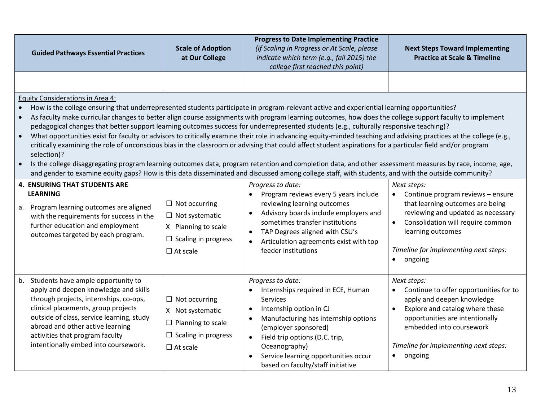|           | <b>Guided Pathways Essential Practices</b>                                                                                                                                                                                                                                                                               | <b>Scale of Adoption</b><br>at Our College                                                                            | <b>Progress to Date Implementing Practice</b><br>(If Scaling in Progress or At Scale, please<br>indicate which term (e.g., fall 2015) the<br>college first reached this point)                                                                                                                                                                                                                                                                                                                                                                                                                                                                                                                                                                                                                                                                                                                                                                                                                                                                                                                         | <b>Next Steps Toward Implementing</b><br><b>Practice at Scale &amp; Timeline</b>                                                                                                                                                                       |
|-----------|--------------------------------------------------------------------------------------------------------------------------------------------------------------------------------------------------------------------------------------------------------------------------------------------------------------------------|-----------------------------------------------------------------------------------------------------------------------|--------------------------------------------------------------------------------------------------------------------------------------------------------------------------------------------------------------------------------------------------------------------------------------------------------------------------------------------------------------------------------------------------------------------------------------------------------------------------------------------------------------------------------------------------------------------------------------------------------------------------------------------------------------------------------------------------------------------------------------------------------------------------------------------------------------------------------------------------------------------------------------------------------------------------------------------------------------------------------------------------------------------------------------------------------------------------------------------------------|--------------------------------------------------------------------------------------------------------------------------------------------------------------------------------------------------------------------------------------------------------|
|           |                                                                                                                                                                                                                                                                                                                          |                                                                                                                       |                                                                                                                                                                                                                                                                                                                                                                                                                                                                                                                                                                                                                                                                                                                                                                                                                                                                                                                                                                                                                                                                                                        |                                                                                                                                                                                                                                                        |
| $\bullet$ | Equity Considerations in Area 4:<br>selection)?                                                                                                                                                                                                                                                                          |                                                                                                                       | How is the college ensuring that underrepresented students participate in program-relevant active and experiential learning opportunities?<br>As faculty make curricular changes to better align course assignments with program learning outcomes, how does the college support faculty to implement<br>pedagogical changes that better support learning outcomes success for underrepresented students (e.g., culturally responsive teaching)?<br>What opportunities exist for faculty or advisors to critically examine their role in advancing equity-minded teaching and advising practices at the college (e.g.,<br>critically examining the role of unconscious bias in the classroom or advising that could affect student aspirations for a particular field and/or program<br>Is the college disaggregating program learning outcomes data, program retention and completion data, and other assessment measures by race, income, age,<br>and gender to examine equity gaps? How is this data disseminated and discussed among college staff, with students, and with the outside community? |                                                                                                                                                                                                                                                        |
| a.        | <b>4. ENSURING THAT STUDENTS ARE</b><br><b>LEARNING</b><br>Program learning outcomes are aligned<br>with the requirements for success in the<br>further education and employment<br>outcomes targeted by each program.                                                                                                   | $\Box$ Not occurring<br>$\Box$ Not systematic<br>X Planning to scale<br>$\Box$ Scaling in progress<br>$\Box$ At scale | Progress to date:<br>Program reviews every 5 years include<br>reviewing learning outcomes<br>Advisory boards include employers and<br>sometimes transfer institutions<br>TAP Degrees aligned with CSU's<br>$\bullet$<br>Articulation agreements exist with top<br>$\bullet$<br>feeder institutions                                                                                                                                                                                                                                                                                                                                                                                                                                                                                                                                                                                                                                                                                                                                                                                                     | Next steps:<br>Continue program reviews - ensure<br>that learning outcomes are being<br>reviewing and updated as necessary<br>Consolidation will require common<br>learning outcomes<br>Timeline for implementing next steps:<br>ongoing<br>$\bullet$  |
| b.        | Students have ample opportunity to<br>apply and deepen knowledge and skills<br>through projects, internships, co-ops,<br>clinical placements, group projects<br>outside of class, service learning, study<br>abroad and other active learning<br>activities that program faculty<br>intentionally embed into coursework. | $\Box$ Not occurring<br>X Not systematic<br>$\Box$ Planning to scale<br>$\Box$ Scaling in progress<br>$\Box$ At scale | Progress to date:<br>Internships required in ECE, Human<br><b>Services</b><br>Internship option in CJ<br>$\bullet$<br>Manufacturing has internship options<br>$\bullet$<br>(employer sponsored)<br>Field trip options (D.C. trip,<br>$\bullet$<br>Oceanography)<br>Service learning opportunities occur<br>$\bullet$<br>based on faculty/staff initiative                                                                                                                                                                                                                                                                                                                                                                                                                                                                                                                                                                                                                                                                                                                                              | Next steps:<br>Continue to offer opportunities for to<br>apply and deepen knowledge<br>Explore and catalog where these<br>opportunities are intentionally<br>embedded into coursework<br>Timeline for implementing next steps:<br>ongoing<br>$\bullet$ |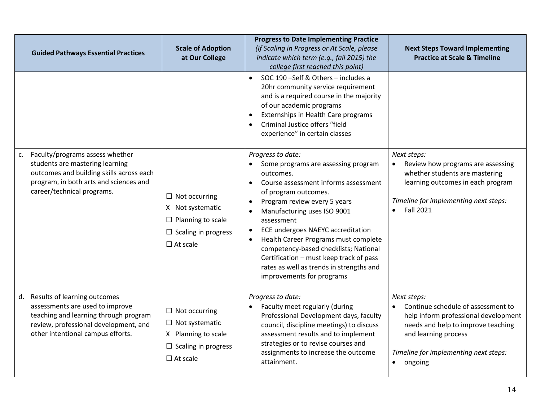| <b>Guided Pathways Essential Practices</b>                                                                                                                                                            | <b>Scale of Adoption</b><br>at Our College                                                                            | <b>Progress to Date Implementing Practice</b><br>(If Scaling in Progress or At Scale, please<br>indicate which term (e.g., fall 2015) the<br>college first reached this point)                                                                                                                                                                                                                                                                                                                                                | <b>Next Steps Toward Implementing</b><br><b>Practice at Scale &amp; Timeline</b>                                                                                                                            |
|-------------------------------------------------------------------------------------------------------------------------------------------------------------------------------------------------------|-----------------------------------------------------------------------------------------------------------------------|-------------------------------------------------------------------------------------------------------------------------------------------------------------------------------------------------------------------------------------------------------------------------------------------------------------------------------------------------------------------------------------------------------------------------------------------------------------------------------------------------------------------------------|-------------------------------------------------------------------------------------------------------------------------------------------------------------------------------------------------------------|
|                                                                                                                                                                                                       |                                                                                                                       | SOC 190 -Self & Others - includes a<br>20hr community service requirement<br>and is a required course in the majority<br>of our academic programs<br>Externships in Health Care programs<br>Criminal Justice offers "field<br>$\bullet$<br>experience" in certain classes                                                                                                                                                                                                                                                     |                                                                                                                                                                                                             |
| Faculty/programs assess whether<br>$c_{\cdot}$<br>students are mastering learning<br>outcomes and building skills across each<br>program, in both arts and sciences and<br>career/technical programs. | $\Box$ Not occurring<br>X Not systematic<br>$\Box$ Planning to scale<br>$\Box$ Scaling in progress<br>$\Box$ At scale | Progress to date:<br>Some programs are assessing program<br>outcomes.<br>Course assessment informs assessment<br>$\bullet$<br>of program outcomes.<br>Program review every 5 years<br>$\bullet$<br>Manufacturing uses ISO 9001<br>$\bullet$<br>assessment<br>ECE undergoes NAEYC accreditation<br>$\bullet$<br>Health Career Programs must complete<br>$\bullet$<br>competency-based checklists; National<br>Certification - must keep track of pass<br>rates as well as trends in strengths and<br>improvements for programs | Next steps:<br>Review how programs are assessing<br>whether students are mastering<br>learning outcomes in each program<br>Timeline for implementing next steps:<br>Fall 2021<br>$\bullet$                  |
| Results of learning outcomes<br>d.<br>assessments are used to improve<br>teaching and learning through program<br>review, professional development, and<br>other intentional campus efforts.          | $\Box$ Not occurring<br>$\Box$ Not systematic<br>X Planning to scale<br>$\Box$ Scaling in progress<br>$\Box$ At scale | Progress to date:<br>Faculty meet regularly (during<br>Professional Development days, faculty<br>council, discipline meetings) to discuss<br>assessment results and to implement<br>strategies or to revise courses and<br>assignments to increase the outcome<br>attainment.                                                                                                                                                                                                                                                 | Next steps:<br>Continue schedule of assessment to<br>help inform professional development<br>needs and help to improve teaching<br>and learning process<br>Timeline for implementing next steps:<br>ongoing |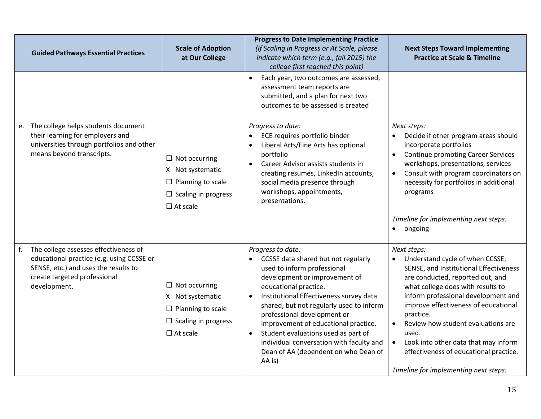|    | <b>Guided Pathways Essential Practices</b>                                                                                                                                 | <b>Scale of Adoption</b><br>at Our College                                                                            | <b>Progress to Date Implementing Practice</b><br>(If Scaling in Progress or At Scale, please<br>indicate which term (e.g., fall 2015) the<br>college first reached this point)                                                                                                                                                                                                                                                                                                 | <b>Next Steps Toward Implementing</b><br><b>Practice at Scale &amp; Timeline</b>                                                                                                                                                                                                                                                                                                                                                        |
|----|----------------------------------------------------------------------------------------------------------------------------------------------------------------------------|-----------------------------------------------------------------------------------------------------------------------|--------------------------------------------------------------------------------------------------------------------------------------------------------------------------------------------------------------------------------------------------------------------------------------------------------------------------------------------------------------------------------------------------------------------------------------------------------------------------------|-----------------------------------------------------------------------------------------------------------------------------------------------------------------------------------------------------------------------------------------------------------------------------------------------------------------------------------------------------------------------------------------------------------------------------------------|
|    |                                                                                                                                                                            |                                                                                                                       | Each year, two outcomes are assessed,<br>assessment team reports are<br>submitted, and a plan for next two<br>outcomes to be assessed is created                                                                                                                                                                                                                                                                                                                               |                                                                                                                                                                                                                                                                                                                                                                                                                                         |
| e. | The college helps students document<br>their learning for employers and<br>universities through portfolios and other<br>means beyond transcripts.                          | $\Box$ Not occurring<br>X Not systematic<br>$\Box$ Planning to scale<br>$\Box$ Scaling in progress<br>$\Box$ At scale | Progress to date:<br>ECE requires portfolio binder<br>Liberal Arts/Fine Arts has optional<br>portfolio<br>Career Advisor assists students in<br>creating resumes, LinkedIn accounts,<br>social media presence through<br>workshops, appointments,<br>presentations.                                                                                                                                                                                                            | Next steps:<br>Decide if other program areas should<br>incorporate portfolios<br><b>Continue promoting Career Services</b><br>workshops, presentations, services<br>Consult with program coordinators on<br>necessity for portfolios in additional<br>programs<br>Timeline for implementing next steps:<br>ongoing                                                                                                                      |
| f. | The college assesses effectiveness of<br>educational practice (e.g. using CCSSE or<br>SENSE, etc.) and uses the results to<br>create targeted professional<br>development. | $\Box$ Not occurring<br>X Not systematic<br>$\Box$ Planning to scale<br>$\Box$ Scaling in progress<br>$\Box$ At scale | Progress to date:<br>CCSSE data shared but not regularly<br>used to inform professional<br>development or improvement of<br>educational practice.<br>Institutional Effectiveness survey data<br>$\bullet$<br>shared, but not regularly used to inform<br>professional development or<br>improvement of educational practice.<br>Student evaluations used as part of<br>$\bullet$<br>individual conversation with faculty and<br>Dean of AA (dependent on who Dean of<br>AA is) | Next steps:<br>Understand cycle of when CCSSE,<br>SENSE, and Institutional Effectiveness<br>are conducted, reported out, and<br>what college does with results to<br>inform professional development and<br>improve effectiveness of educational<br>practice.<br>Review how student evaluations are<br>used.<br>Look into other data that may inform<br>effectiveness of educational practice.<br>Timeline for implementing next steps: |